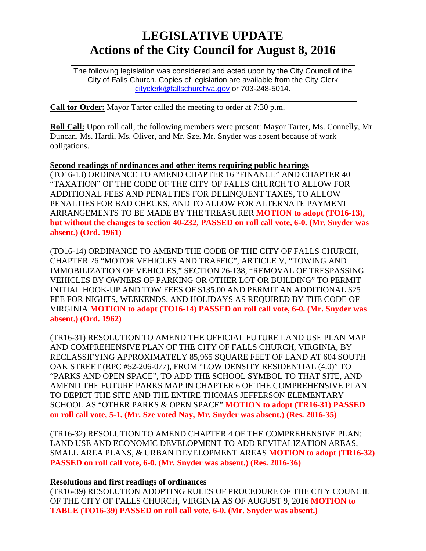# **LEGISLATIVE UPDATE Actions of the City Council for August 8, 2016**

 $\mathcal{L}_\text{max}$  and  $\mathcal{L}_\text{max}$  and  $\mathcal{L}_\text{max}$  and  $\mathcal{L}_\text{max}$  and  $\mathcal{L}_\text{max}$  and  $\mathcal{L}_\text{max}$ The following legislation was considered and acted upon by the City Council of the City of Falls Church. Copies of legislation are available from the City Clerk [cityclerk@fallschurchva.gov](mailto:cityclerk@fallschurchva.gov) or 703-248-5014.

 $\mathcal{L}_\text{max}$  and  $\mathcal{L}_\text{max}$  and  $\mathcal{L}_\text{max}$  and  $\mathcal{L}_\text{max}$  and  $\mathcal{L}_\text{max}$  and  $\mathcal{L}_\text{max}$ 

**Call tor Order:** Mayor Tarter called the meeting to order at 7:30 p.m.

**Roll Call:** Upon roll call, the following members were present: Mayor Tarter, Ms. Connelly, Mr. Duncan, Ms. Hardi, Ms. Oliver, and Mr. Sze. Mr. Snyder was absent because of work obligations.

**Second readings of ordinances and other items requiring public hearings** (TO16-13) ORDINANCE TO AMEND CHAPTER 16 "FINANCE" AND CHAPTER 40 "TAXATION" OF THE CODE OF THE CITY OF FALLS CHURCH TO ALLOW FOR ADDITIONAL FEES AND PENALTIES FOR DELINQUENT TAXES, TO ALLOW PENALTIES FOR BAD CHECKS, AND TO ALLOW FOR ALTERNATE PAYMENT ARRANGEMENTS TO BE MADE BY THE TREASURER **MOTION to adopt (TO16-13), but without the changes to section 40-232, PASSED on roll call vote, 6-0. (Mr. Snyder was absent.) (Ord. 1961)**

(TO16-14) ORDINANCE TO AMEND THE CODE OF THE CITY OF FALLS CHURCH, CHAPTER 26 "MOTOR VEHICLES AND TRAFFIC", ARTICLE V, "TOWING AND IMMOBILIZATION OF VEHICLES," SECTION 26-138, "REMOVAL OF TRESPASSING VEHICLES BY OWNERS OF PARKING OR OTHER LOT OR BUILDING" TO PERMIT INITIAL HOOK-UP AND TOW FEES OF \$135.00 AND PERMIT AN ADDITIONAL \$25 FEE FOR NIGHTS, WEEKENDS, AND HOLIDAYS AS REQUIRED BY THE CODE OF VIRGINIA **MOTION to adopt (TO16-14) PASSED on roll call vote, 6-0. (Mr. Snyder was absent.) (Ord. 1962)**

(TR16-31) RESOLUTION TO AMEND THE OFFICIAL FUTURE LAND USE PLAN MAP AND COMPREHENSIVE PLAN OF THE CITY OF FALLS CHURCH, VIRGINIA, BY RECLASSIFYING APPROXIMATELY 85,965 SQUARE FEET OF LAND AT 604 SOUTH OAK STREET (RPC #52-206-077), FROM "LOW DENSITY RESIDENTIAL (4.0)" TO "PARKS AND OPEN SPACE", TO ADD THE SCHOOL SYMBOL TO THAT SITE, AND AMEND THE FUTURE PARKS MAP IN CHAPTER 6 OF THE COMPREHENSIVE PLAN TO DEPICT THE SITE AND THE ENTIRE THOMAS JEFFERSON ELEMENTARY SCHOOL AS "OTHER PARKS & OPEN SPACE" **MOTION to adopt (TR16-31) PASSED on roll call vote, 5-1. (Mr. Sze voted Nay, Mr. Snyder was absent.) (Res. 2016-35)**

(TR16-32) RESOLUTION TO AMEND CHAPTER 4 OF THE COMPREHENSIVE PLAN: LAND USE AND ECONOMIC DEVELOPMENT TO ADD REVITALIZATION AREAS, SMALL AREA PLANS, & URBAN DEVELOPMENT AREAS **MOTION to adopt (TR16-32) PASSED on roll call vote, 6-0. (Mr. Snyder was absent.) (Res. 2016-36)**

## **Resolutions and first readings of ordinances**

(TR16-39) RESOLUTION ADOPTING RULES OF PROCEDURE OF THE CITY COUNCIL OF THE CITY OF FALLS CHURCH, VIRGINIA AS OF AUGUST 9, 2016 **MOTION to TABLE (TO16-39) PASSED on roll call vote, 6-0. (Mr. Snyder was absent.)**